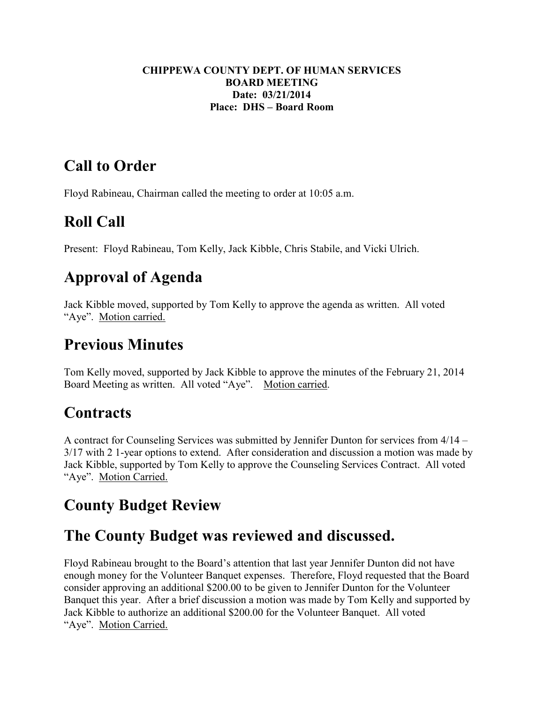#### **CHIPPEWA COUNTY DEPT. OF HUMAN SERVICES BOARD MEETING Date: 03/21/2014 Place: DHS – Board Room**

## **Call to Order**

Floyd Rabineau, Chairman called the meeting to order at 10:05 a.m.

# **Roll Call**

Present: Floyd Rabineau, Tom Kelly, Jack Kibble, Chris Stabile, and Vicki Ulrich.

# **Approval of Agenda**

Jack Kibble moved, supported by Tom Kelly to approve the agenda as written. All voted "Aye". Motion carried.

## **Previous Minutes**

Tom Kelly moved, supported by Jack Kibble to approve the minutes of the February 21, 2014 Board Meeting as written. All voted "Aye". Motion carried.

## **Contracts**

A contract for Counseling Services was submitted by Jennifer Dunton for services from 4/14 – 3/17 with 2 1-year options to extend. After consideration and discussion a motion was made by Jack Kibble, supported by Tom Kelly to approve the Counseling Services Contract. All voted "Aye". Motion Carried.

## **County Budget Review**

## **The County Budget was reviewed and discussed.**

Floyd Rabineau brought to the Board's attention that last year Jennifer Dunton did not have enough money for the Volunteer Banquet expenses. Therefore, Floyd requested that the Board consider approving an additional \$200.00 to be given to Jennifer Dunton for the Volunteer Banquet this year. After a brief discussion a motion was made by Tom Kelly and supported by Jack Kibble to authorize an additional \$200.00 for the Volunteer Banquet. All voted "Aye". Motion Carried.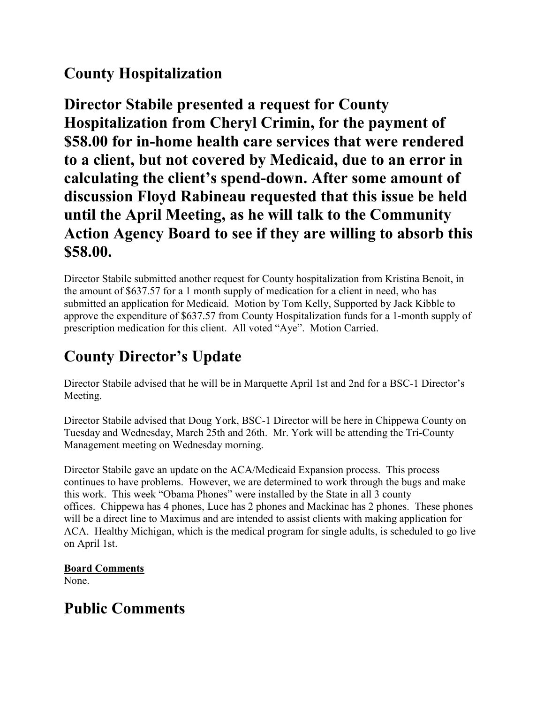## **County Hospitalization**

**Director Stabile presented a request for County Hospitalization from Cheryl Crimin, for the payment of \$58.00 for in-home health care services that were rendered to a client, but not covered by Medicaid, due to an error in calculating the client's spend-down. After some amount of discussion Floyd Rabineau requested that this issue be held until the April Meeting, as he will talk to the Community Action Agency Board to see if they are willing to absorb this \$58.00.** 

Director Stabile submitted another request for County hospitalization from Kristina Benoit, in the amount of \$637.57 for a 1 month supply of medication for a client in need, who has submitted an application for Medicaid. Motion by Tom Kelly, Supported by Jack Kibble to approve the expenditure of \$637.57 from County Hospitalization funds for a 1-month supply of prescription medication for this client. All voted "Aye". Motion Carried.

## **County Director's Update**

Director Stabile advised that he will be in Marquette April 1st and 2nd for a BSC-1 Director's Meeting.

Director Stabile advised that Doug York, BSC-1 Director will be here in Chippewa County on Tuesday and Wednesday, March 25th and 26th. Mr. York will be attending the Tri-County Management meeting on Wednesday morning.

Director Stabile gave an update on the ACA/Medicaid Expansion process. This process continues to have problems. However, we are determined to work through the bugs and make this work. This week "Obama Phones" were installed by the State in all 3 county offices. Chippewa has 4 phones, Luce has 2 phones and Mackinac has 2 phones. These phones will be a direct line to Maximus and are intended to assist clients with making application for ACA. Healthy Michigan, which is the medical program for single adults, is scheduled to go live on April 1st.

#### **Board Comments**

None.

## **Public Comments**